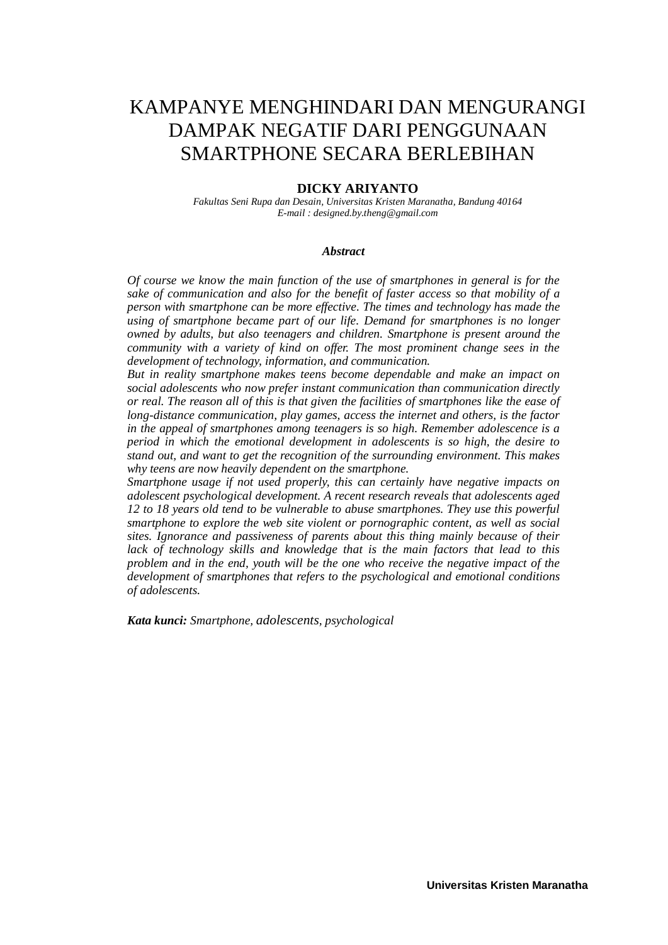# KAMPANYE MENGHINDARI DAN MENGURANGI DAMPAK NEGATIF DARI PENGGUNAAN SMARTPHONE SECARA BERLEBIHAN

#### **DICKY ARIYANTO**

*Fakultas Seni Rupa dan Desain, Universitas Kristen Maranatha, Bandung 40164 E-mail : designed.by.theng@gmail.com*

#### *Abstract*

*Of course we know the main function of the use of smartphones in general is for the sake of communication and also for the benefit of faster access so that mobility of a person with smartphone can be more effective. The times and technology has made the using of smartphone became part of our life. Demand for smartphones is no longer owned by adults, but also teenagers and children. Smartphone is present around the community with a variety of kind on offer. The most prominent change sees in the development of technology, information, and communication.*

*But in reality smartphone makes teens become dependable and make an impact on social adolescents who now prefer instant communication than communication directly or real. The reason all of this is that given the facilities of smartphones like the ease of long-distance communication, play games, access the internet and others, is the factor in the appeal of smartphones among teenagers is so high. Remember adolescence is a period in which the emotional development in adolescents is so high, the desire to stand out, and want to get the recognition of the surrounding environment. This makes why teens are now heavily dependent on the smartphone.*

*Smartphone usage if not used properly, this can certainly have negative impacts on adolescent psychological development. A recent research reveals that adolescents aged 12 to 18 years old tend to be vulnerable to abuse smartphones. They use this powerful smartphone to explore the web site violent or pornographic content, as well as social sites. Ignorance and passiveness of parents about this thing mainly because of their lack of technology skills and knowledge that is the main factors that lead to this problem and in the end, youth will be the one who receive the negative impact of the development of smartphones that refers to the psychological and emotional conditions of adolescents.*

*Kata kunci: Smartphone, adolescents, psychological*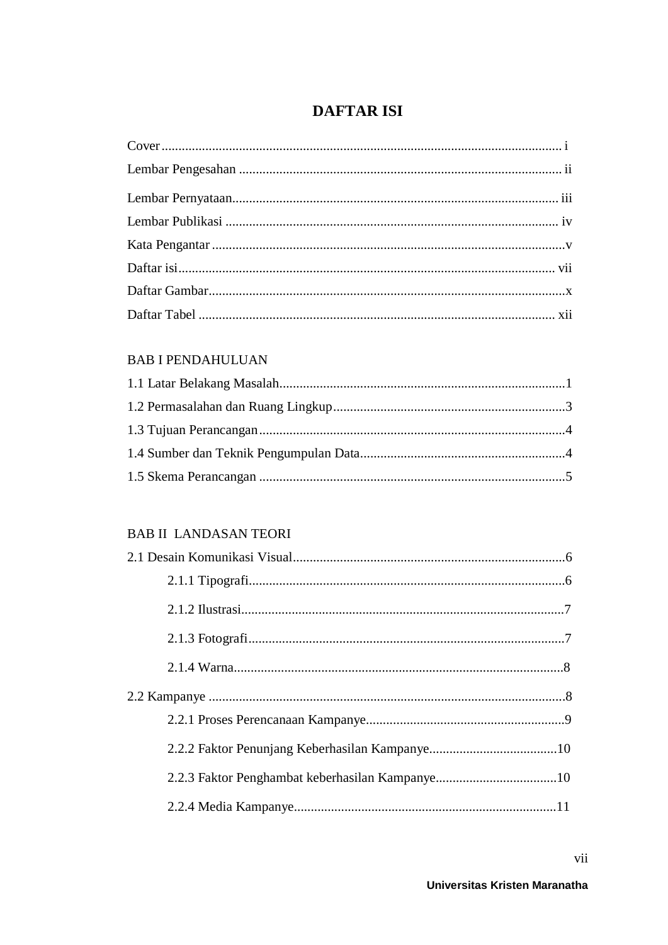## **DAFTAR ISI**

#### **BAB I PENDAHULUAN**

#### **BAB II LANDASAN TEORI**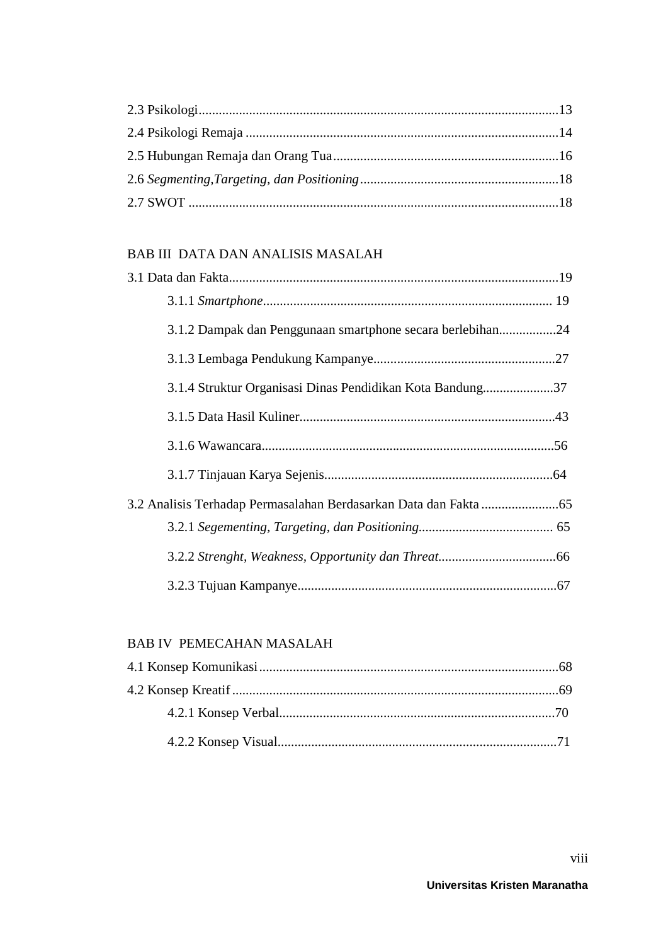### **BAB III DATA DAN ANALISIS MASALAH**

| 3.1.2 Dampak dan Penggunaan smartphone secara berlebihan24 |  |
|------------------------------------------------------------|--|
|                                                            |  |
| 3.1.4 Struktur Organisasi Dinas Pendidikan Kota Bandung37  |  |
|                                                            |  |
|                                                            |  |
|                                                            |  |
|                                                            |  |
|                                                            |  |
|                                                            |  |
|                                                            |  |

#### **BAB IV PEMECAHAN MASALAH**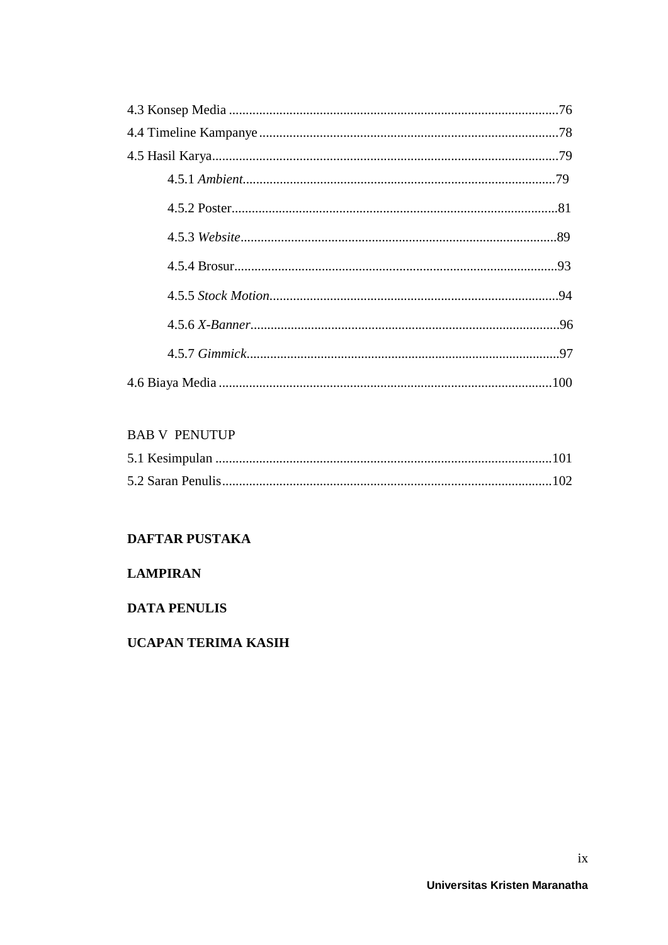### **BAB V PENUTUP**

### **DAFTAR PUSTAKA**

### **LAMPIRAN**

#### **DATA PENULIS**

### **UCAPAN TERIMA KASIH**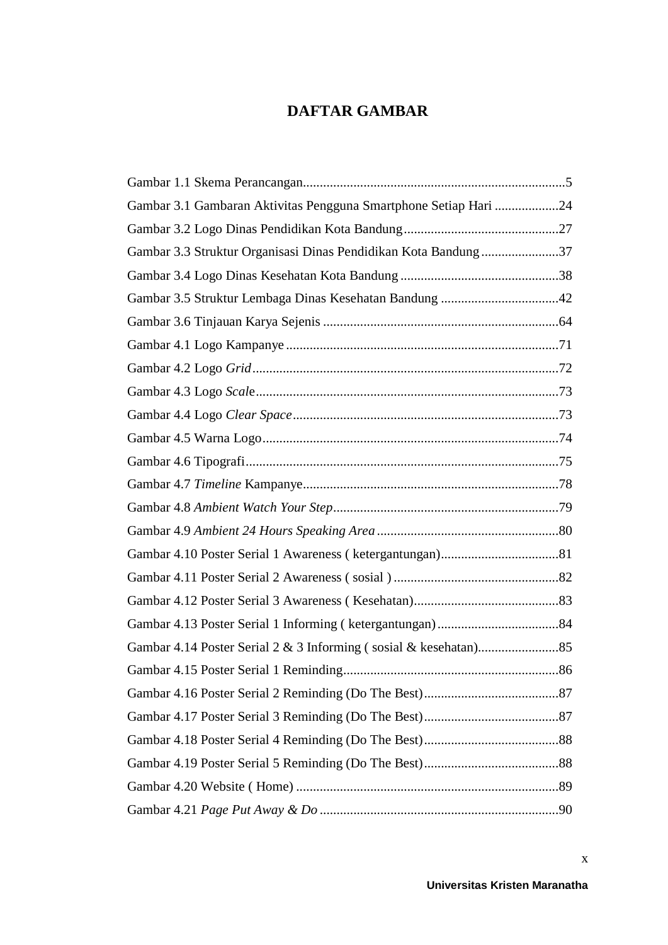### **DAFTAR GAMBAR**

| Gambar 3.1 Gambaran Aktivitas Pengguna Smartphone Setiap Hari 24 |  |
|------------------------------------------------------------------|--|
|                                                                  |  |
| Gambar 3.3 Struktur Organisasi Dinas Pendidikan Kota Bandung 37  |  |
|                                                                  |  |
|                                                                  |  |
|                                                                  |  |
|                                                                  |  |
|                                                                  |  |
|                                                                  |  |
|                                                                  |  |
|                                                                  |  |
|                                                                  |  |
|                                                                  |  |
|                                                                  |  |
|                                                                  |  |
|                                                                  |  |
|                                                                  |  |
|                                                                  |  |
|                                                                  |  |
|                                                                  |  |
|                                                                  |  |
|                                                                  |  |
|                                                                  |  |
|                                                                  |  |
|                                                                  |  |
|                                                                  |  |
|                                                                  |  |